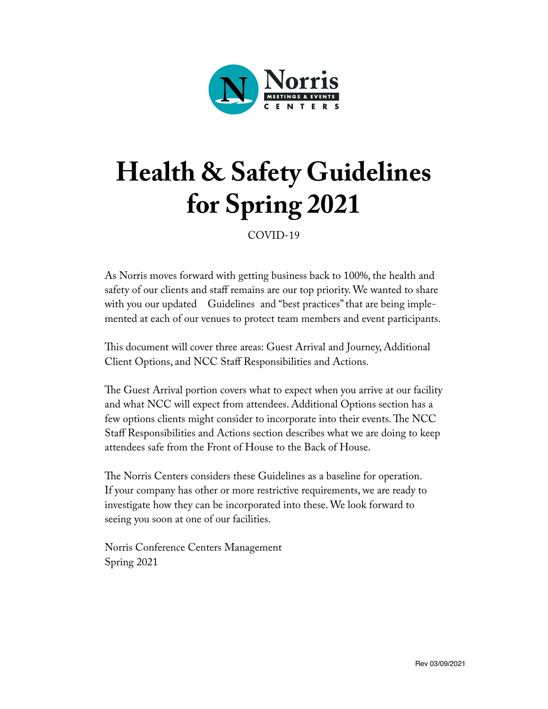

# **Health & Safety Guidelines for Spring 2021**

COVID-19

As Norris moves forward with getting business back to 100%, the health and safety of our clients and staff remains are our top priority. We wanted to share with you our updated Guidelines and "best practices" that are being implemented at each of our venues to protect team members and event participants.

This document will cover three areas: Guest Arrival and Journey, Additional Client Options, and NCC Staff Responsibilities and Actions.

The Guest Arrival portion covers what to expect when you arrive at our facility and what NCC will expect from attendees. Additional Options section has a few options clients might consider to incorporate into their events. The NCC Staff Responsibilities and Actions section describes what we are doing to keep attendees safe from the Front of House to the Back of House.

The Norris Centers considers these Guidelines as a baseline for operation. If your company has other or more restrictive requirements, we are ready to investigate how they can be incorporated into these. We look forward to seeing you soon at one of our facilities.

Norris Conference Centers Management Spring 2021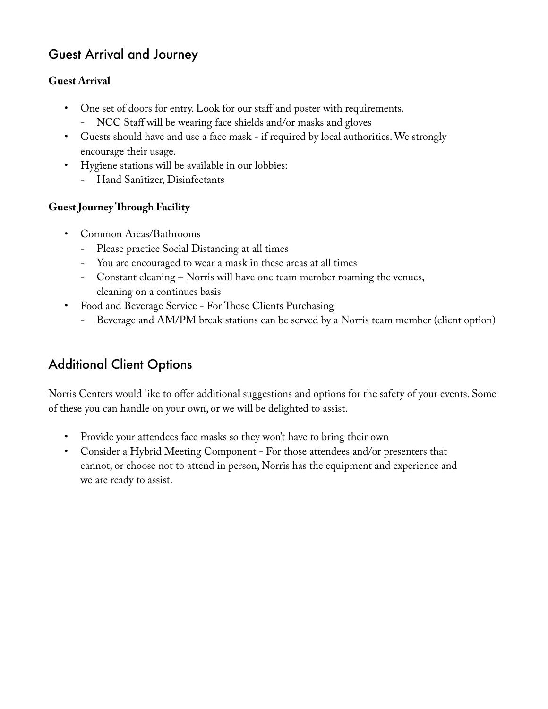### Guest Arrival and Journey

#### **Guest Arrival**

- One set of doors for entry. Look for our staff and poster with requirements.
	- NCC Staff will be wearing face shields and/or masks and gloves
- Guests should have and use a face mask if required by local authorities. We strongly encourage their usage.
- Hygiene stations will be available in our lobbies:
	- Hand Sanitizer, Disinfectants

#### **Guest Journey Through Facility**

- Common Areas/Bathrooms
	- Please practice Social Distancing at all times
	- You are encouraged to wear a mask in these areas at all times
	- Constant cleaning Norris will have one team member roaming the venues, cleaning on a continues basis
- Food and Beverage Service For Those Clients Purchasing
	- Beverage and AM/PM break stations can be served by a Norris team member (client option)

## Additional Client Options

Norris Centers would like to offer additional suggestions and options for the safety of your events. Some of these you can handle on your own, or we will be delighted to assist.

- Provide your attendees face masks so they won't have to bring their own
- Consider a Hybrid Meeting Component For those attendees and/or presenters that cannot, or choose not to attend in person, Norris has the equipment and experience and we are ready to assist.